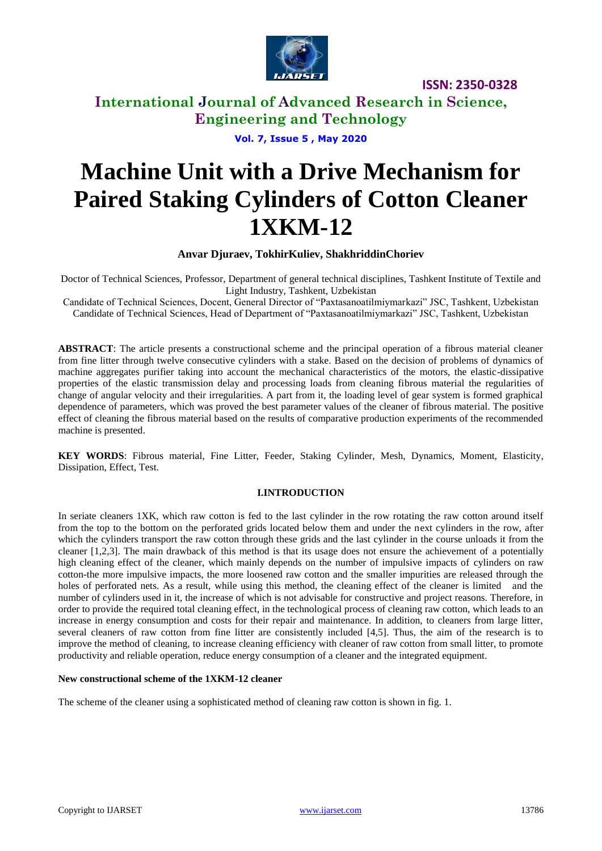

# **International Journal of Advanced Research in Science, Engineering and Technology**

**Vol. 7, Issue 5 , May 2020**

# **Machine Unit with a Drive Mechanism for Paired Staking Cylinders of Cotton Cleaner 1XKM-12**

**Anvar Djuraev, TokhirKuliev, ShakhriddinChoriev**

Doctor of Technical Sciences, Professor, Department of general technical disciplines, Tashkent Institute of Textile and Light Industry, Tashkent, Uzbekistan

Candidate of Technical Sciences, Docent, General Director of "Paxtasanoatilmiymarkazi" JSC, Tashkent, Uzbekistan Candidate of Technical Sciences, Head of Department of "Paxtasanoatilmiymarkazi" JSC, Tashkent, Uzbekistan

**ABSTRACT**: The article presents a constructional scheme and the principal operation of a fibrous material cleaner from fine litter through twelve consecutive cylinders with a stake. Based on the decision of problems of dynamics of machine aggregates purifier taking into account the mechanical characteristics of the motors, the elastic-dissipative properties of the elastic transmission delay and processing loads from cleaning fibrous material the regularities of change of angular velocity and their irregularities. A part from it, the loading level of gear system is formed graphical dependence of parameters, which was proved the best parameter values of the cleaner of fibrous material. The positive effect of cleaning the fibrous material based on the results of comparative production experiments of the recommended machine is presented.

**KEY WORDS**: Fibrous material, Fine Litter, Feeder, Staking Cylinder, Mesh, Dynamics, Moment, Elasticity, Dissipation, Effect, Test.

## **I.INTRODUCTION**

In seriate cleaners 1XK, which raw cotton is fed to the last cylinder in the row rotating the raw cotton around itself from the top to the bottom on the perforated grids located below them and under the next cylinders in the row, after which the cylinders transport the raw cotton through these grids and the last cylinder in the course unloads it from the cleaner [1,2,3]. The main drawback of this method is that its usage does not ensure the achievement of a potentially high cleaning effect of the cleaner, which mainly depends on the number of impulsive impacts of cylinders on raw cotton-the more impulsive impacts, the more loosened raw cotton and the smaller impurities are released through the holes of perforated nets. As a result, while using this method, the cleaning effect of the cleaner is limited and the number of cylinders used in it, the increase of which is not advisable for constructive and project reasons. Therefore, in order to provide the required total cleaning effect, in the technological process of cleaning raw cotton, which leads to an increase in energy consumption and costs for their repair and maintenance. In addition, to cleaners from large litter, several cleaners of raw cotton from fine litter are consistently included [4,5]. Thus, the aim of the research is to improve the method of cleaning, to increase cleaning efficiency with cleaner of raw cotton from small litter, to promote productivity and reliable operation, reduce energy consumption of a cleaner and the integrated equipment.

#### **New constructional scheme of the 1XKM-12 cleaner**

The scheme of the cleaner using a sophisticated method of cleaning raw cotton is shown in fig. 1.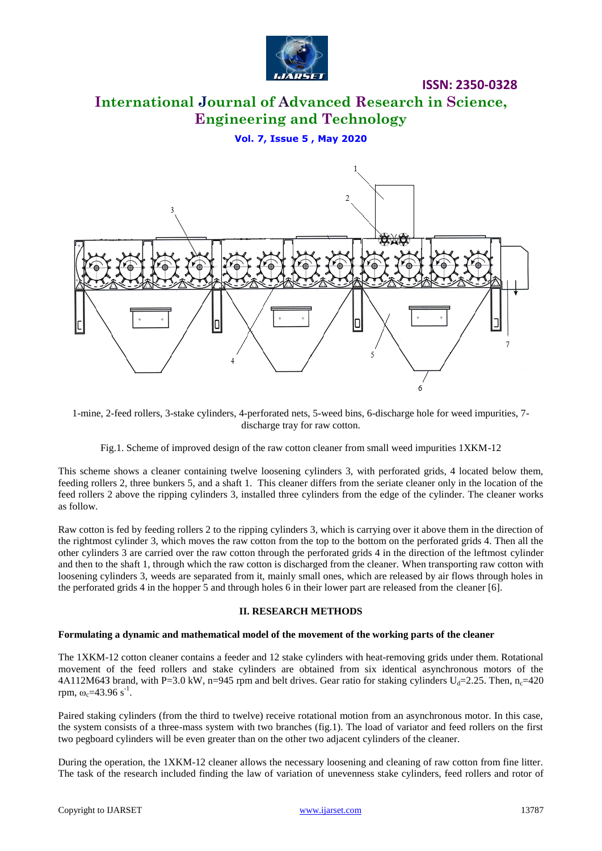

# **International Journal of Advanced Research in Science, Engineering and Technology**

**Vol. 7, Issue 5 , May 2020**



1-mine, 2-feed rollers, 3-stake cylinders, 4-perforated nets, 5-weed bins, 6-discharge hole for weed impurities, 7 discharge tray for raw cotton.

Fig.1. Scheme of improved design of the raw cotton cleaner from small weed impurities 1XKM-12

This scheme shows a cleaner containing twelve loosening cylinders 3, with perforated grids, 4 located below them, feeding rollers 2, three bunkers 5, and a shaft 1. This cleaner differs from the seriate cleaner only in the location of the feed rollers 2 above the ripping cylinders 3, installed three cylinders from the edge of the cylinder. The cleaner works as follow.

Raw cotton is fed by feeding rollers 2 to the ripping cylinders 3, which is carrying over it above them in the direction of the rightmost cylinder 3, which moves the raw cotton from the top to the bottom on the perforated grids 4. Then all the other cylinders 3 are carried over the raw cotton through the perforated grids 4 in the direction of the leftmost cylinder and then to the shaft 1, through which the raw cotton is discharged from the cleaner. When transporting raw cotton with loosening cylinders 3, weeds are separated from it, mainly small ones, which are released by air flows through holes in the perforated grids 4 in the hopper 5 and through holes 6 in their lower part are released from the cleaner [6].

#### **II. RESEARCH METHODS**

#### **Formulating a dynamic and mathematical model of the movement of the working parts of the cleaner**

The 1XKM-12 cotton cleaner contains a feeder and 12 stake cylinders with heat-removing grids under them. Rotational movement of the feed rollers and stake cylinders are obtained from six identical asynchronous motors of the 4A112M643 brand, with P=3.0 kW, n=945 rpm and belt drives. Gear ratio for staking cylinders  $U_d$ =2.25. Then, n<sub>c</sub>=420 rpm,  $\omega_c$ =43.96 s<sup>-1</sup>.

Paired staking cylinders (from the third to twelve) receive rotational motion from an asynchronous motor. In this case, the system consists of a three-mass system with two branches (fig.1). The load of variator and feed rollers on the first two pegboard cylinders will be even greater than on the other two adjacent cylinders of the cleaner.

During the operation, the 1XKM-12 cleaner allows the necessary loosening and cleaning of raw cotton from fine litter. The task of the research included finding the law of variation of unevenness stake cylinders, feed rollers and rotor of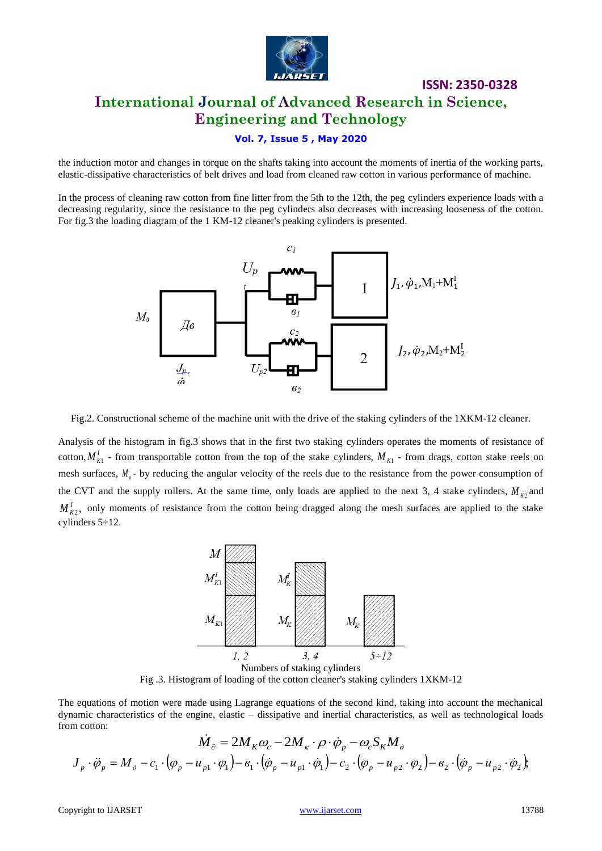

# **ISSN: 2350-0328 International Journal of Advanced Research in Science, Engineering and Technology**

## **Vol. 7, Issue 5 , May 2020**

the induction motor and changes in torque on the shafts taking into account the moments of inertia of the working parts, elastic-dissipative characteristics of belt drives and load from cleaned raw cotton in various performance of machine.

In the process of cleaning raw cotton from fine litter from the 5th to the 12th, the peg cylinders experience loads with a decreasing regularity, since the resistance to the peg cylinders also decreases with increasing looseness of the cotton. For fig.3 the loading diagram of the 1 KM-12 cleaner's peaking cylinders is presented.



Fig.2. Constructional scheme of the machine unit with the drive of the staking cylinders of the 1XKM-12 cleaner.

Analysis of the histogram in fig.3 shows that in the first two staking cylinders operates the moments of resistance of cotton,  $M_{K1}^l$  - from transportable cotton from the top of the stake cylinders,  $M_{K1}$  - from drags, cotton stake reels on mesh surfaces,  $M_{n}$ - by reducing the angular velocity of the reels due to the resistance from the power consumption of the CVT and the supply rollers. At the same time, only loads are applied to the next 3, 4 stake cylinders,  $M_{K2}$  and  $M_{K2}^I$ , only moments of resistance from the cotton being dragged along the mesh surfaces are applied to the stake cylinders 5÷12.



Fig .3. Histogram of loading of the cotton cleaner's staking cylinders 1XKM-12

The equations of motion were made using Lagrange equations of the second kind, taking into account the mechanical dynamic characteristics of the engine, elastic – dissipative and inertial characteristics, as well as technological loads from cotton:

$$
\dot{M}_{\partial} = 2M_K \omega_c - 2M_K \cdot \rho \cdot \dot{\phi}_p - \omega_c S_K M_{\partial}
$$
\n
$$
J_p \cdot \ddot{\phi}_p = M_{\partial} - c_1 \cdot (\varphi_p - u_{p1} \cdot \varphi_1) - \epsilon_1 \cdot (\dot{\varphi}_p - u_{p1} \cdot \dot{\varphi}_1) - c_2 \cdot (\varphi_p - u_{p2} \cdot \varphi_2) - \epsilon_2 \cdot (\dot{\varphi}_p - u_{p2} \cdot \dot{\varphi}_2),
$$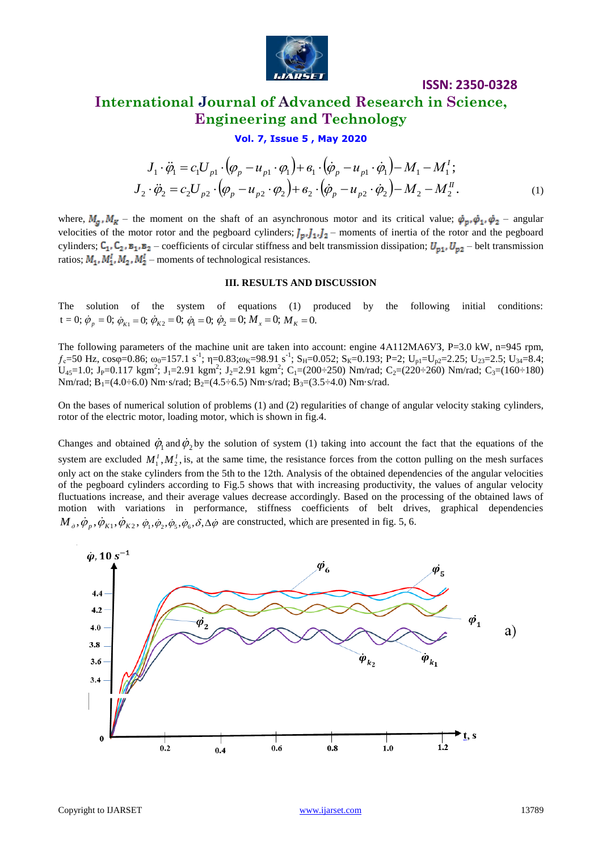

# **International Journal of Advanced Research in Science, Engineering and Technology**

**Vol. 7, Issue 5 , May 2020**

$$
J_1 \cdot \ddot{\varphi}_1 = c_1 U_{p1} \cdot (\varphi_p - u_{p1} \cdot \varphi_1) + \varepsilon_1 \cdot (\dot{\varphi}_p - u_{p1} \cdot \dot{\varphi}_1) - M_1 - M_1';
$$
  
\n
$$
J_2 \cdot \ddot{\varphi}_2 = c_2 U_{p2} \cdot (\varphi_p - u_{p2} \cdot \varphi_2) + \varepsilon_2 \cdot (\dot{\varphi}_p - u_{p2} \cdot \dot{\varphi}_2) - M_2 - M_2''.
$$
 (1)

where,  $M_a$ ,  $M_R$  – the moment on the shaft of an asynchronous motor and its critical value;  $\dot{\varphi}_p$ ,  $\dot{\varphi}_1$ ,  $\dot{\varphi}_2$  – angular velocities of the motor rotor and the pegboard cylinders;  $J_p, J_1, J_2$  moments of inertia of the rotor and the pegboard cylinders;  $C_1$ ,  $C_2$ ,  $B_1$ ,  $B_2$  – coefficients of circular stiffness and belt transmission dissipation;  $U_{p1}$ ,  $U_{p2}$  – belt transmission ratios;  $M_1, M_1^1, M_2, M_2^1$  – moments of technological resistances.

#### **III. RESULTS AND DISCUSSION**

The solution of the system of equations (1) produced by the following initial conditions:  $\dot{\phi}_1 = 0$ ;  $\dot{\phi}_R = 0$ ;  $\dot{\phi}_{K1} = 0$ ;  $\dot{\phi}_{K2} = 0$ ;  $\dot{\phi}_1 = 0$ ;  $\dot{\phi}_2 = 0$ ;  $M_x = 0$ ;  $M_y = 0$ .

The following parameters of the machine unit are taken into account: engine 4A112MA6V3, P=3.0 kW, n=945 rpm,  $f_c$ =50 Hz, cos $\varphi$ =0.86;  $\omega_0$ =157.1 s<sup>-1</sup>;  $\eta$ =0.83; $\omega_K$ =98.91 s<sup>-1</sup>; S<sub>H</sub>=0.052; S<sub>K</sub>=0.193; P=2; U<sub>p1</sub>=U<sub>p2</sub>=2.25; U<sub>23</sub>=2.5; U<sub>34</sub>=8.4;  $U_{45}=1.0$ ; J<sub>P</sub>=0.117 kgm<sup>2</sup>; J<sub>1</sub>=2.91 kgm<sup>2</sup>; J<sub>2</sub>=2.91 kgm<sup>2</sup>; C<sub>1</sub>=(200÷250) Nm/rad; C<sub>2</sub>=(220÷260) Nm/rad; C<sub>3</sub>=(160÷180) Nm/rad;  $B_1=(4.0\div 6.0)$  Nm·s/rad;  $B_2=(4.5\div 6.5)$  Nm·s/rad;  $B_3=(3.5\div 4.0)$  Nm·s/rad.

On the bases of numerical solution of problems (1) and (2) regularities of change of angular velocity staking cylinders, rotor of the electric motor, loading motor, which is shown in fig.4.

Changes and obtained  $\dot{\phi}_1$  and  $\dot{\phi}_2$  by the solution of system (1) taking into account the fact that the equations of the system are excluded  $M_1^T, M_2^T$ , is, at the same time, the resistance forces from the cotton pulling on the mesh surfaces only act on the stake cylinders from the 5th to the 12th. Analysis of the obtained dependencies of the angular velocities of the pegboard cylinders according to Fig.5 shows that with increasing productivity, the values of angular velocity fluctuations increase, and their average values decrease accordingly. Based on the processing of the obtained laws of motion with variations in performance, stiffness coefficients of belt drives, graphical dependencies  $M_{\partial}, \dot{\varphi}_p, \dot{\varphi}_{K1}, \dot{\varphi}_{K2}, \dot{\varphi}_1, \dot{\varphi}_2, \dot{\varphi}_5, \dot{\varphi}_6, \delta, \Delta \dot{\varphi}$  are constructed, which are presented in fig. 5, 6.

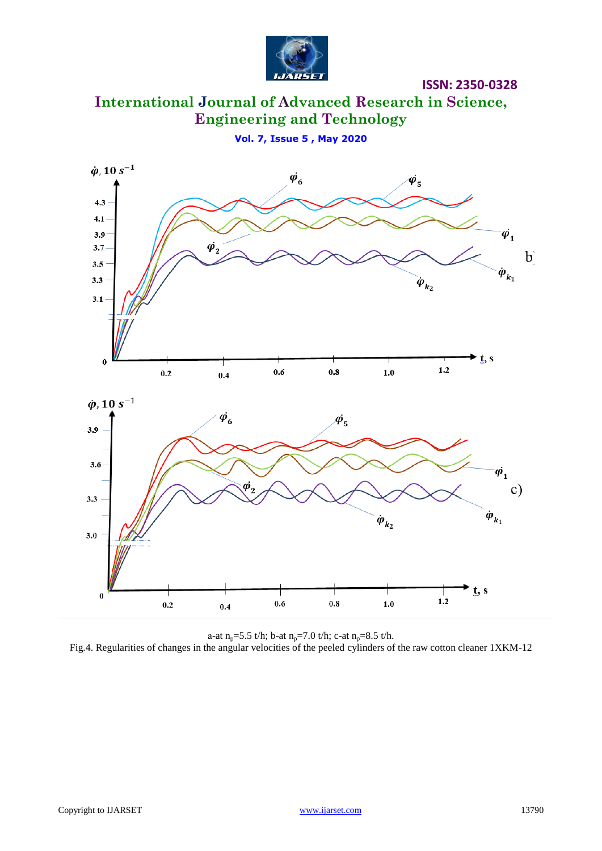

**International Journal of Advanced Research in Science, Engineering and Technology**

**Vol. 7, Issue 5 , May 2020**



a-at  $n_p = 5.5$  t/h; b-at  $n_p = 7.0$  t/h; c-at  $n_p = 8.5$  t/h. Fig.4. Regularities of changes in the angular velocities of the peeled cylinders of the raw cotton cleaner 1XKM-12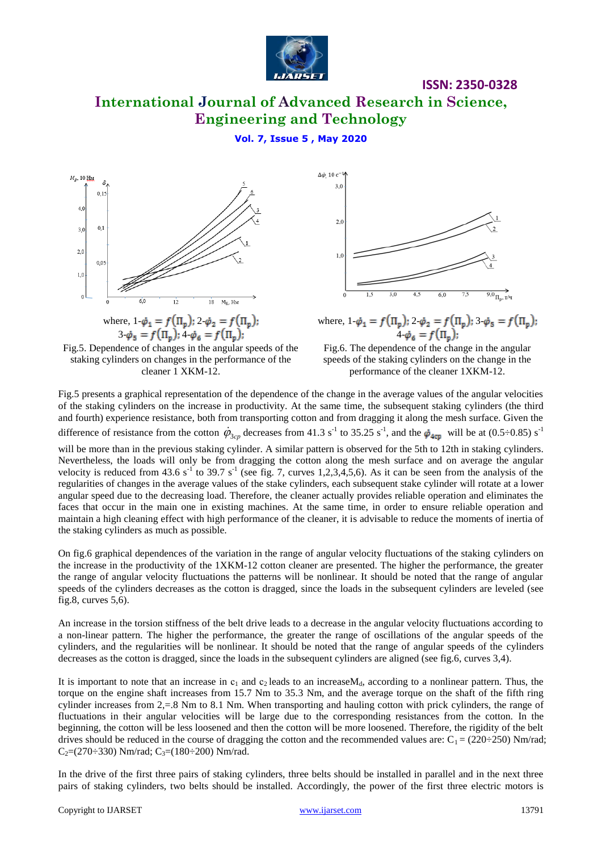

# **International Journal of Advanced Research in Science, Engineering and Technology**

## **Vol. 7, Issue 5 , May 2020**





the staking cylinders as much as possible.



where,  $1-\dot{\phi}_1 = f(\Pi_n)$ ;  $2-\dot{\phi}_2 = f(\Pi_n)$ ;  $3-\dot{\phi}_5 = f(\Pi_n)$ ;  $4-\dot{\varphi}_6 = f(\Pi_p);$ 

Fig.6. The dependence of the change in the angular speeds of the staking cylinders on the change in the performance of the cleaner 1XKM-12.

Fig.5 presents a graphical representation of the dependence of the change in the average values of the angular velocities of the staking cylinders on the increase in productivity. At the same time, the subsequent staking cylinders (the third and fourth) experience resistance, both from transporting cotton and from dragging it along the mesh surface. Given the difference of resistance from the cotton  $\dot{\varphi}_{3cp}$  decreases from 41.3 s<sup>-1</sup> to 35.25 s<sup>-1</sup>, and the  $\dot{\varphi}_{4cp}$  will be at (0.5÷0.85) s<sup>-1</sup> will be more than in the previous staking cylinder. A similar pattern is observed for the 5th to 12th in staking cylinders. Nevertheless, the loads will only be from dragging the cotton along the mesh surface and on average the angular velocity is reduced from 43.6  $s^{-1}$  to 39.7  $s^{-1}$  (see fig. 7, curves 1,2,3,4,5,6). As it can be seen from the analysis of the regularities of changes in the average values of the stake cylinders, each subsequent stake cylinder will rotate at a lower angular speed due to the decreasing load. Therefore, the cleaner actually provides reliable operation and eliminates the faces that occur in the main one in existing machines. At the same time, in order to ensure reliable operation and

On fig.6 graphical dependences of the variation in the range of angular velocity fluctuations of the staking cylinders on the increase in the productivity of the 1XKM-12 cotton cleaner are presented. The higher the performance, the greater the range of angular velocity fluctuations the patterns will be nonlinear. It should be noted that the range of angular speeds of the cylinders decreases as the cotton is dragged, since the loads in the subsequent cylinders are leveled (see fig.8, curves 5,6).

maintain a high cleaning effect with high performance of the cleaner, it is advisable to reduce the moments of inertia of

An increase in the torsion stiffness of the belt drive leads to a decrease in the angular velocity fluctuations according to a non-linear pattern. The higher the performance, the greater the range of oscillations of the angular speeds of the cylinders, and the regularities will be nonlinear. It should be noted that the range of angular speeds of the cylinders decreases as the cotton is dragged, since the loads in the subsequent cylinders are aligned (see fig.6, curves 3,4).

It is important to note that an increase in  $c_1$  and  $c_2$  leads to an increaseM<sub>d</sub>, according to a nonlinear pattern. Thus, the torque on the engine shaft increases from 15.7 Nm to 35.3 Nm, and the average torque on the shaft of the fifth ring cylinder increases from 2,=.8 Nm to 8.1 Nm. When transporting and hauling cotton with prick cylinders, the range of fluctuations in their angular velocities will be large due to the corresponding resistances from the cotton. In the beginning, the cotton will be less loosened and then the cotton will be more loosened. Therefore, the rigidity of the belt drives should be reduced in the course of dragging the cotton and the recommended values are:  $C_1 = (220 \div 250)$  Nm/rad;  $C_2=(270\div 330)$  Nm/rad;  $C_3=(180\div 200)$  Nm/rad.

In the drive of the first three pairs of staking cylinders, three belts should be installed in parallel and in the next three pairs of staking cylinders, two belts should be installed. Accordingly, the power of the first three electric motors is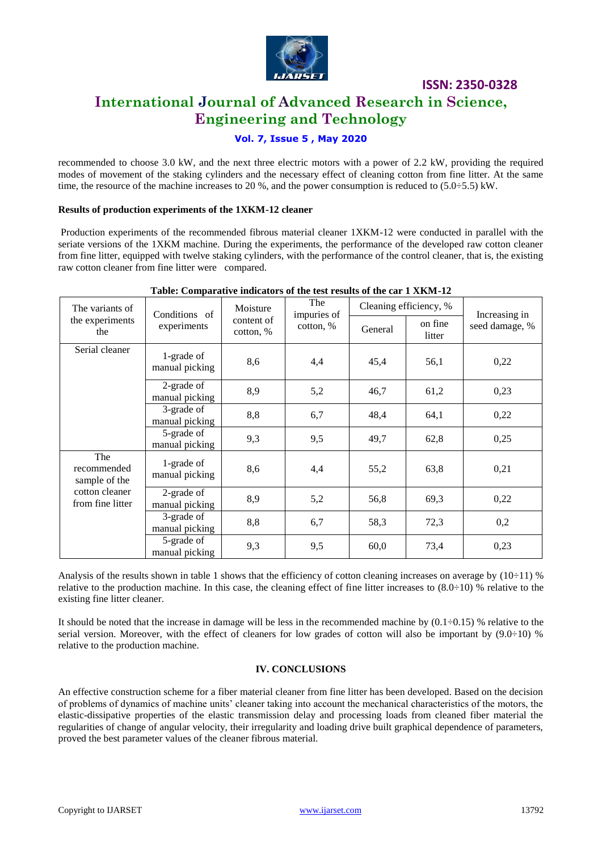

# **International Journal of Advanced Research in Science, Engineering and Technology**

## **Vol. 7, Issue 5 , May 2020**

recommended to choose 3.0 kW, and the next three electric motors with a power of 2.2 kW, providing the required modes of movement of the staking cylinders and the necessary effect of cleaning cotton from fine litter. At the same time, the resource of the machine increases to 20 %, and the power consumption is reduced to (5.0÷5.5) kW.

#### **Results of production experiments of the 1XKM-12 cleaner**

Production experiments of the recommended fibrous material cleaner 1XKM-12 were conducted in parallel with the seriate versions of the 1XKM machine. During the experiments, the performance of the developed raw cotton cleaner from fine litter, equipped with twelve staking cylinders, with the performance of the control cleaner, that is, the existing raw cotton cleaner from fine litter were compared.

| The variants of<br>the experiments<br>the                                 | Conditions of<br>experiments | Moisture<br>content of<br>$\cot$ <sub>6</sub> , $\%$ | The<br>impuries of<br>cotton, % | rabic, comparative multators of the test results of the car i mixer is<br>Cleaning efficiency, % |                   | Increasing in  |
|---------------------------------------------------------------------------|------------------------------|------------------------------------------------------|---------------------------------|--------------------------------------------------------------------------------------------------|-------------------|----------------|
|                                                                           |                              |                                                      |                                 | General                                                                                          | on fine<br>litter | seed damage, % |
| Serial cleaner                                                            | 1-grade of<br>manual picking | 8,6                                                  | 4,4                             | 45,4                                                                                             | 56,1              | 0,22           |
|                                                                           | 2-grade of<br>manual picking | 8,9                                                  | 5,2                             | 46,7                                                                                             | 61,2              | 0,23           |
|                                                                           | 3-grade of<br>manual picking | 8,8                                                  | 6,7                             | 48,4                                                                                             | 64,1              | 0,22           |
|                                                                           | 5-grade of<br>manual picking | 9,3                                                  | 9,5                             | 49,7                                                                                             | 62,8              | 0,25           |
| The<br>recommended<br>sample of the<br>cotton cleaner<br>from fine litter | 1-grade of<br>manual picking | 8,6                                                  | 4,4                             | 55,2                                                                                             | 63,8              | 0,21           |
|                                                                           | 2-grade of<br>manual picking | 8,9                                                  | 5,2                             | 56,8                                                                                             | 69,3              | 0,22           |
|                                                                           | 3-grade of<br>manual picking | 8,8                                                  | 6,7                             | 58,3                                                                                             | 72,3              | 0,2            |
|                                                                           | 5-grade of<br>manual picking | 9,3                                                  | 9,5                             | 60,0                                                                                             | 73,4              | 0,23           |

### **Table: Comparative indicators of the test results of the car 1 XKM-12**

Analysis of the results shown in table 1 shows that the efficiency of cotton cleaning increases on average by  $(10\div 11)$  % relative to the production machine. In this case, the cleaning effect of fine litter increases to  $(8.0 \div 10)$  % relative to the existing fine litter cleaner.

It should be noted that the increase in damage will be less in the recommended machine by  $(0.1\div 0.15)$  % relative to the serial version. Moreover, with the effect of cleaners for low grades of cotton will also be important by  $(9.0\div 10)$  % relative to the production machine.

## **IV. CONCLUSIONS**

An effective construction scheme for a fiber material cleaner from fine litter has been developed. Based on the decision of problems of dynamics of machine units' cleaner taking into account the mechanical characteristics of the motors, the elastic-dissipative properties of the elastic transmission delay and processing loads from cleaned fiber material the regularities of change of angular velocity, their irregularity and loading drive built graphical dependence of parameters, proved the best parameter values of the cleaner fibrous material.